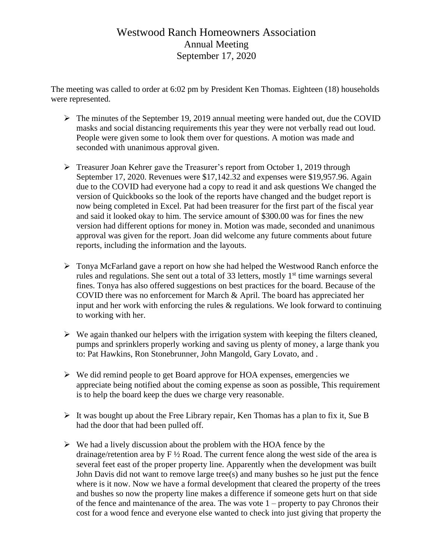## Westwood Ranch Homeowners Association Annual Meeting September 17, 2020

The meeting was called to order at 6:02 pm by President Ken Thomas. Eighteen (18) households were represented.

- ➢ The minutes of the September 19, 2019 annual meeting were handed out, due the COVID masks and social distancing requirements this year they were not verbally read out loud. People were given some to look them over for questions. A motion was made and seconded with unanimous approval given.
- ➢ Treasurer Joan Kehrer gave the Treasurer's report from October 1, 2019 through September 17, 2020. Revenues were \$17,142.32 and expenses were \$19,957.96. Again due to the COVID had everyone had a copy to read it and ask questions We changed the version of Quickbooks so the look of the reports have changed and the budget report is now being completed in Excel. Pat had been treasurer for the first part of the fiscal year and said it looked okay to him. The service amount of \$300.00 was for fines the new version had different options for money in. Motion was made, seconded and unanimous approval was given for the report. Joan did welcome any future comments about future reports, including the information and the layouts.
- $\triangleright$  Tonya McFarland gave a report on how she had helped the Westwood Ranch enforce the rules and regulations. She sent out a total of 33 letters, mostly  $1<sup>st</sup>$  time warnings several fines. Tonya has also offered suggestions on best practices for the board. Because of the COVID there was no enforcement for March & April. The board has appreciated her input and her work with enforcing the rules & regulations. We look forward to continuing to working with her.
- $\triangleright$  We again thanked our helpers with the irrigation system with keeping the filters cleaned, pumps and sprinklers properly working and saving us plenty of money, a large thank you to: Pat Hawkins, Ron Stonebrunner, John Mangold, Gary Lovato, and .
- $\triangleright$  We did remind people to get Board approve for HOA expenses, emergencies we appreciate being notified about the coming expense as soon as possible, This requirement is to help the board keep the dues we charge very reasonable.
- $\triangleright$  It was bought up about the Free Library repair, Ken Thomas has a plan to fix it, Sue B had the door that had been pulled off.
- $\triangleright$  We had a lively discussion about the problem with the HOA fence by the drainage/retention area by  $F\frac{1}{2}$  Road. The current fence along the west side of the area is several feet east of the proper property line. Apparently when the development was built John Davis did not want to remove large tree(s) and many bushes so he just put the fence where is it now. Now we have a formal development that cleared the property of the trees and bushes so now the property line makes a difference if someone gets hurt on that side of the fence and maintenance of the area. The was vote  $1$  – property to pay Chronos their cost for a wood fence and everyone else wanted to check into just giving that property the